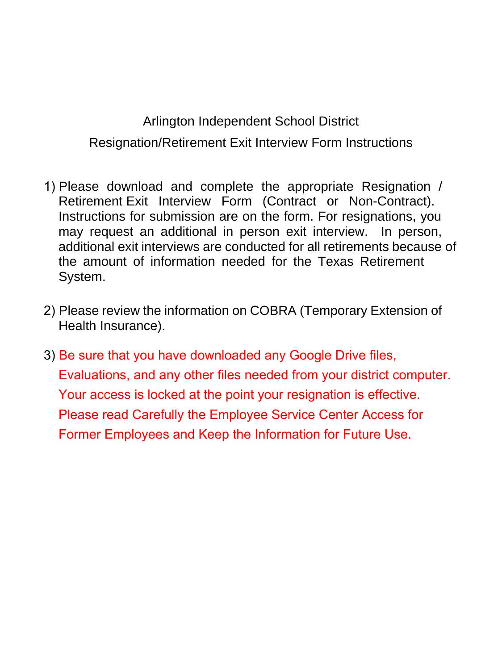# Arlington Independent School District Resignation/Retirement Exit Interview Form Instructions

- 1) Please download and complete the appropriate Resignation / Retirement Exit Interview Form (Contract or Non-Contract). Instructions for submission are on the form. For resignations, you may request an additional in person exit interview. In person, additional exit interviews are conducted for all retirements because of the amount of information needed for the Texas Retirement System.
- 2) Please review the information on COBRA (Temporary Extension of Health Insurance).
- 3) Be sure that you have downloaded any Google Drive files, E[valuations, and any](mailto:phoffman@aisd.net) other files needed from your district computer. Your access is locked at the point your resignation is effective. Please read Carefully the Employee Service Center Access for Former Employees and Keep the Information for Future Use.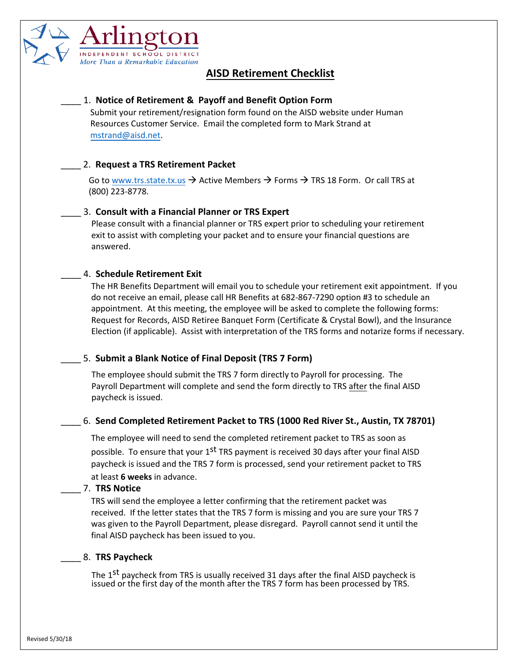

## **AISD Retirement Checklist**

## \_\_\_\_ 1. **Notice of Retirement & Payoff and Benefit Option Form**

Submit your retirement/resignation form found on the AISD website under Human Resources Customer Service. Email the co[mpleted form](mailto:mstrand@aisd.net) to Mark Strand at mstrand@aisd.net.

## \_\_\_\_ 2. **Request a TRS Retirement Packet**

Go to w[ww.trs.state.tx.us](http://www.trs.state.tx.us/)  $\rightarrow$  Active Members  $\rightarrow$  Forms  $\rightarrow$  TRS 18 Form. Or call TRS at (800) 223-8778.

## \_\_\_\_ 3. **Consult with a Financial Planner or TRS Expert**

Please consult with a financial planner or TRS expert prior to scheduling your retirement exit to assist with completing your packet and to ensure your financial questions are answered.

## \_\_\_\_ 4. **Schedule Retirement Exit**

The HR Benefits Department will email you to schedule your retirem[ent exit appointment.](mailto:pwhitesi@aisd.net) If you do not receive an email, please call HR Benefits at 682-867-7290 option #3 to schedule an appointment. At this meeting, the employee will be asked to complete the following forms: Request for Records, AISD Retiree Banquet Form (Certificate & Crystal Bowl), and the Insurance Election (if applicable). Assist with interpretation of the TRS forms and notarize forms if necessary.

## \_\_\_\_ 5. **Submit a Blank Notice of Final Deposit (TRS 7 Form)**

The employee should submit the TRS 7 form directly to Payroll for processing. The Payroll Department will complete and send the form directly to TRS after the final AISD paycheck is issued.

## \_\_\_\_ 6. **Send Completed Retirement Packet to TRS (1000 Red River St., Austin, TX 78701)**

The employee will need to send the completed retirement packet to TRS as soon as possible. To ensure that your  $1<sup>st</sup>$  TRS payment is received 30 days after your final AISD paycheck is issued and the TRS 7 form is processed, send your retirement packet to TRS at least **6 weeks** in advance.

### \_\_\_\_ 7. **TRS Notice**

TRS will send the employee a letter confirming that the retirement packet was received. If the letter states that the TRS 7 form is missing and you are sure your TRS 7 was given to the Payroll Department, please disregard. Payroll cannot send it until the final AISD paycheck has been issued to you.

## \_\_\_\_ 8. **TRS Paycheck**

The 1<sup>st</sup> paycheck from TRS is usually received 31 days after the final AISD paycheck is issued or the first day of the month after the TRS 7 form has been processed by TRS.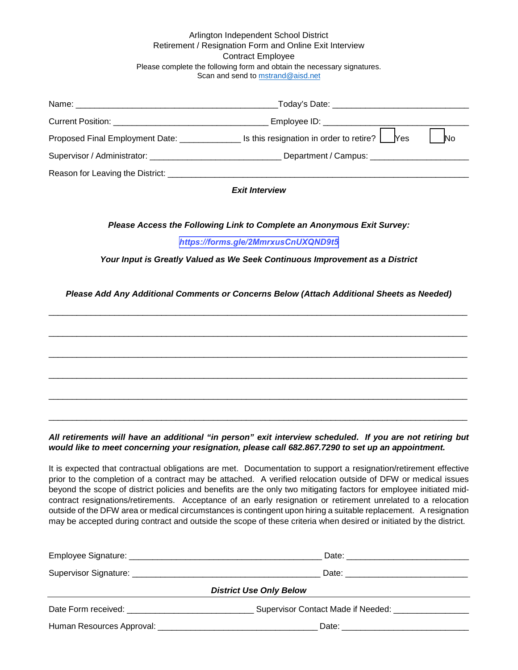### Arlington Independent School District Retirement / Resignation Form and Online Exit Interview Contract Employee Please complete the following form and obtain the necessary signatures. Scan and send to [mstrand@aisd.net](mailto:mstrand@aisd.net)

|                                               | _Today's Date: ___________________________   |           |
|-----------------------------------------------|----------------------------------------------|-----------|
|                                               | Employee ID: _______________________________ |           |
| Proposed Final Employment Date: _____________ | Is this resignation in order to retire? Pes  | <b>No</b> |
|                                               |                                              |           |
| Reason for Leaving the District: _            |                                              |           |

### *Exit Interview*

*Please Access the Following Link to Complete an Anonymous Exit Survey:*

### *<https://forms.gle/2MmrxusCnUXQND9t5>*

*Your Input is Greatly Valued as We Seek Continuous Improvement as a District*

### *Please Add Any Additional Comments or Concerns Below (Attach Additional Sheets as Needed)*

\_\_\_\_\_\_\_\_\_\_\_\_\_\_\_\_\_\_\_\_\_\_\_\_\_\_\_\_\_\_\_\_\_\_\_\_\_\_\_\_\_\_\_\_\_\_\_\_\_\_\_\_\_\_\_\_\_\_\_\_\_\_\_\_\_\_\_\_\_\_\_\_\_\_\_\_\_\_\_\_\_\_\_\_\_\_\_\_\_

\_\_\_\_\_\_\_\_\_\_\_\_\_\_\_\_\_\_\_\_\_\_\_\_\_\_\_\_\_\_\_\_\_\_\_\_\_\_\_\_\_\_\_\_\_\_\_\_\_\_\_\_\_\_\_\_\_\_\_\_\_\_\_\_\_\_\_\_\_\_\_\_\_\_\_\_\_\_\_\_\_\_\_\_\_\_\_\_\_

\_\_\_\_\_\_\_\_\_\_\_\_\_\_\_\_\_\_\_\_\_\_\_\_\_\_\_\_\_\_\_\_\_\_\_\_\_\_\_\_\_\_\_\_\_\_\_\_\_\_\_\_\_\_\_\_\_\_\_\_\_\_\_\_\_\_\_\_\_\_\_\_\_\_\_\_\_\_\_\_\_\_\_\_\_\_\_\_\_

\_\_\_\_\_\_\_\_\_\_\_\_\_\_\_\_\_\_\_\_\_\_\_\_\_\_\_\_\_\_\_\_\_\_\_\_\_\_\_\_\_\_\_\_\_\_\_\_\_\_\_\_\_\_\_\_\_\_\_\_\_\_\_\_\_\_\_\_\_\_\_\_\_\_\_\_\_\_\_\_\_\_\_\_\_\_\_\_\_

\_\_\_\_\_\_\_\_\_\_\_\_\_\_\_\_\_\_\_\_\_\_\_\_\_\_\_\_\_\_\_\_\_\_\_\_\_\_\_\_\_\_\_\_\_\_\_\_\_\_\_\_\_\_\_\_\_\_\_\_\_\_\_\_\_\_\_\_\_\_\_\_\_\_\_\_\_\_\_\_\_\_\_\_\_\_\_\_\_

\_\_\_\_\_\_\_\_\_\_\_\_\_\_\_\_\_\_\_\_\_\_\_\_\_\_\_\_\_\_\_\_\_\_\_\_\_\_\_\_\_\_\_\_\_\_\_\_\_\_\_\_\_\_\_\_\_\_\_\_\_\_\_\_\_\_\_\_\_\_\_\_\_\_\_\_\_\_\_\_\_\_\_\_\_\_\_\_\_

*All retirements will have an additional "in person" exit interview scheduled. If you are not retiring but would like to meet concerning your resignation, please call 682.867.7290 to set up an appointment.* 

It is expected that contractual obligations are met. Documentation to support a resignation/retirement effective prior to the completion of a contract may be attached. A verified relocation outside of DFW or medical issues beyond the scope of district policies and benefits are the only two mitigating factors for employee initiated midcontract resignations/retirements. Acceptance of an early resignation or retirement unrelated to a relocation outside of the DFW area or medical circumstances is contingent upon hiring a suitable replacement. A resignation may be accepted during contract and outside the scope of these criteria when desired or initiated by the district.

| <b>District Use Only Below</b>          |                                                  |  |  |  |  |
|-----------------------------------------|--------------------------------------------------|--|--|--|--|
| Date Form received: <b>Example 2018</b> | Supervisor Contact Made if Needed: _____________ |  |  |  |  |
|                                         |                                                  |  |  |  |  |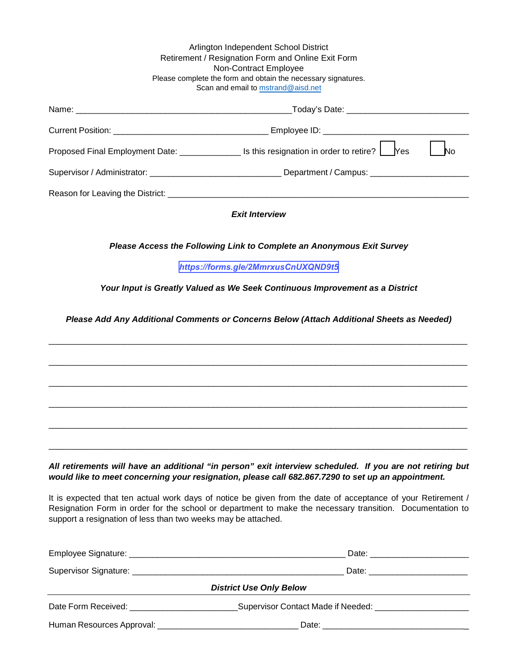|                                                                                                                                                                                                                                                                                           | Arlington Independent School District<br>Retirement / Resignation Form and Online Exit Form<br>Non-Contract Employee<br>Please complete the form and obtain the necessary signatures.<br>Scan and email to mstrand@aisd.net |  |  |  |  |  |
|-------------------------------------------------------------------------------------------------------------------------------------------------------------------------------------------------------------------------------------------------------------------------------------------|-----------------------------------------------------------------------------------------------------------------------------------------------------------------------------------------------------------------------------|--|--|--|--|--|
|                                                                                                                                                                                                                                                                                           |                                                                                                                                                                                                                             |  |  |  |  |  |
|                                                                                                                                                                                                                                                                                           |                                                                                                                                                                                                                             |  |  |  |  |  |
|                                                                                                                                                                                                                                                                                           | Proposed Final Employment Date: ________________ Is this resignation in order to retire? Les<br><b>No</b>                                                                                                                   |  |  |  |  |  |
|                                                                                                                                                                                                                                                                                           |                                                                                                                                                                                                                             |  |  |  |  |  |
|                                                                                                                                                                                                                                                                                           |                                                                                                                                                                                                                             |  |  |  |  |  |
|                                                                                                                                                                                                                                                                                           | <b>Exit Interview</b>                                                                                                                                                                                                       |  |  |  |  |  |
| Please Access the Following Link to Complete an Anonymous Exit Survey<br>https://forms.gle/2MmrxusCnUXQND9t5<br>Your Input is Greatly Valued as We Seek Continuous Improvement as a District<br>Please Add Any Additional Comments or Concerns Below (Attach Additional Sheets as Needed) |                                                                                                                                                                                                                             |  |  |  |  |  |
|                                                                                                                                                                                                                                                                                           |                                                                                                                                                                                                                             |  |  |  |  |  |

*All retirements will have an additional "in person" exit interview scheduled. If you are not retiring but would like to meet concerning your resignation, please call 682.867.7290 to set up an appointment.* 

It is expected that ten actual work days of notice be given from the date of acceptance of your Retirement / Resignation Form in order for the school or department to make the necessary transition. Documentation to support a resignation of less than two weeks may be attached.

|                                | Date: _________________________                           |  |  |  |  |
|--------------------------------|-----------------------------------------------------------|--|--|--|--|
| <b>District Use Only Below</b> |                                                           |  |  |  |  |
|                                | Supervisor Contact Made if Needed: ______________________ |  |  |  |  |
|                                |                                                           |  |  |  |  |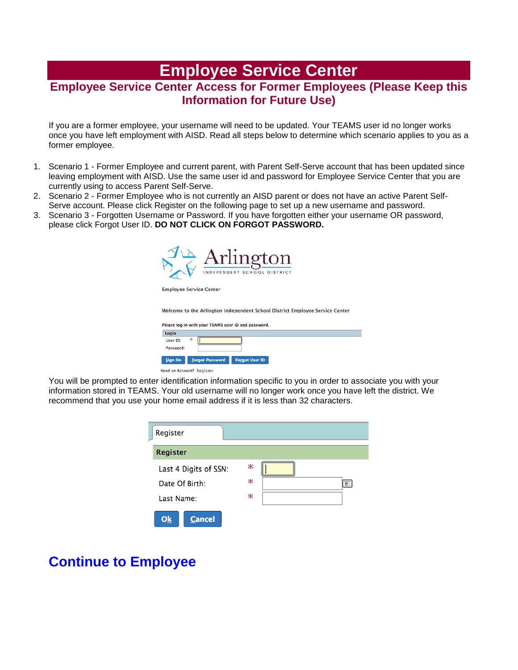# **Employee Service Center**

## **Employee Service Center Access for Former Employees (Please Keep this Information for Future Use)**

If you are a former employee, your username will need to be updated. Your TEAMS user id no longer works once you have left employment with AISD. Read all steps below to determine which scenario applies to you as a former employee.

- 1. Scenario 1 Former Employee and current parent, with Parent Self-Serve account that has been updated since leaving employment with AISD. Use the same user id and password for Employee Service Center that you are currently using to access Parent Self-Serve.
- 2. Scenario 2 Former Employee who is not currently an AISD parent or does not have an active Parent Self-Serve account. Please click Register on the following page to set up a new username and password.
- 3. Scenario 3 Forgotten Username or Password. If you have forgotten either your username OR password, please click Forgot User ID. **DO NOT CLICK ON FORGOT PASSWORD.**



| FICASE IVY III WILLI YOU! I LAMS USE! ID AIN PASSWOID. |                                        |  |  |  |  |
|--------------------------------------------------------|----------------------------------------|--|--|--|--|
| Login                                                  |                                        |  |  |  |  |
| User ID:<br>Password:                                  | ж                                      |  |  |  |  |
|                                                        | Sign On Eorgot Password Forgot User ID |  |  |  |  |

Need an Account? Register

You will be prompted to enter identification information specific to you in order to associate you with your information stored in TEAMS. Your old username will no longer work once you have left the district. We recommend that you use your home email address if it is less than 32 characters.



## **[Continue to Employee](https://is-teams.aisd.net/servicecenter/EntryPointSignOnAction.do)**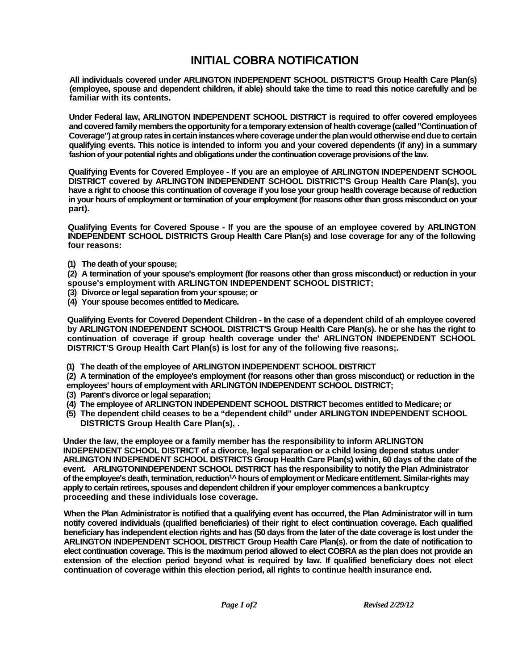## **INITIAL COBRA NOTIFICATION**

**All individuals covered under ARLINGTON INDEPENDENT SCHOOL DISTRICT'S Group Health Care Plan(s) (employee, spouse and dependent children, if able) should take the time to read this notice carefully and be familiar with its contents.**

**Under Federal law, ARLINGTON INDEPENDENT SCHOOL DISTRICT is required to offer covered employees and covered family members the opportunity for a temporary extension of health coverage (called "Continuation of Coverage") at group rates in certain instances where coverage under the plan would otherwise end due to certain qualifying events. This notice is intended to inform you and your covered dependents (if any) in a summary fashion of your potential rights and obligations under the continuation coverage provisions of the law.**

**Qualifying Events for Covered Employee - If you are an employee of ARLINGTON INDEPENDENT SCHOOL DISTRICT covered by ARLINGTON INDEPENDENT SCHOOL DISTRICT'S Group Health Care Plan(s), you have a right to choose this continuation of coverage if you lose your group health coverage because of reduction in your hours of employment or termination of your employment (for reasons other than gross misconduct on your part).**

**Qualifying Events for Covered Spouse - If you are the spouse of an employee covered by ARLINGTON INDEPENDENT SCHOOL DISTRICTS Group Health Care Plan(s) and lose coverage for any of the following four reasons:**

**(1) The death of your spouse;**

**(2) A termination of your spouse's employment (for reasons other than gross misconduct) or reduction in your spouse's employment with ARLINGTON INDEPENDENT SCHOOL DISTRICT;**

- **(3) Divorce or legal separation from your spouse; or**
- **(4) Your spouse becomes entitled to Medicare.**

**Qualifying Events for Covered Dependent Children - In the case of a dependent child of ah employee covered by ARLINGTON INDEPENDENT SCHOOL DISTRICT'S Group Health Care Plan(s). he or she has the right to continuation of coverage if group health coverage under the' ARLINGTON INDEPENDENT SCHOOL DISTRICT'S Group Health Cart Plan(s) is lost for any of the following five reasons;.**

**(1) The death of the employee of ARLINGTON INDEPENDENT SCHOOL DISTRICT**

**(2) A termination of the employee's employment (for reasons other than gross misconduct) or reduction in the employees' hours of employment with ARLINGTON INDEPENDENT SCHOOL DISTRICT;**

- **(3) Parent's divorce or legal separation;**
- **(4) The employee of ARLINGTON INDEPENDENT SCHOOL DISTRICT becomes entitled to Medicare; or**
- **(5) The dependent child ceases to be a "dependent child" under ARLINGTON INDEPENDENT SCHOOL DISTRICTS Group Health Care Plan(s), .**

**Under the law, the employee or a family member has the responsibility to inform ARLINGTON INDEPENDENT SCHOOL DISTRICT of a divorce, legal separation or a child losing depend status under ARLINGTON INDEPENDENT SCHOOL DISTRICTS Group Health Care Plan(s) within, 60 days of the date of the event. ARLINGTONINDEPENDENT SCHOOL DISTRICT has the responsibility to notify the Plan Administrator**  of the employee's death, termination, reduction<sup>1</sup>^ hours of employment or Medicare entitlement. Similar-rights may **apply to certain retirees, spouses and dependent children if your employer commences a bankruptcy proceeding and these individuals lose coverage.**

**When the Plan Administrator is notified that a qualifying event has occurred, the Plan Administrator will in turn notify covered individuals (qualified beneficiaries) of their right to elect continuation coverage. Each qualified beneficiary has independent election rights and has (50 days from the later of the date coverage is lost under the ARLINGTON INDEPENDENT SCHOOL DISTRICT Group Health Care Plan(s). or from the date of notification to elect continuation coverage. This is the maximum period allowed to elect COBRA as the plan does not provide an extension of the election period beyond what is required by law. If qualified beneficiary does not elect continuation of coverage within this election period, all rights to continue health insurance end.**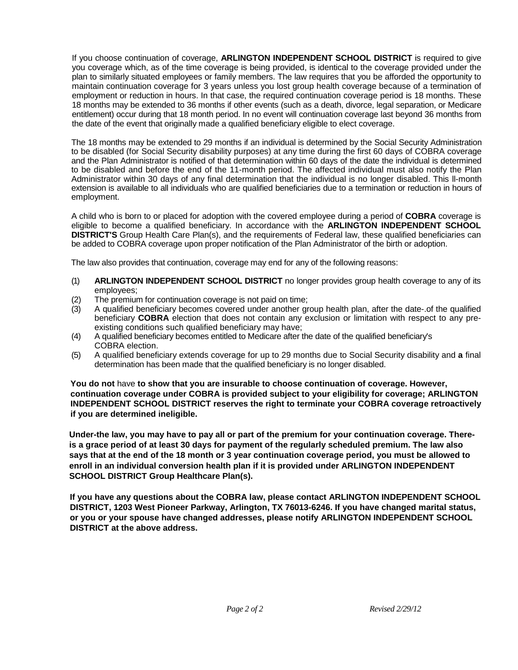If you choose continuation of coverage, **ARLINGTON INDEPENDENT SCHOOL DISTRICT** is required to give you coverage which, as of the time coverage is being provided, is identical to the coverage provided under the plan to similarly situated employees or family members. The law requires that you be afforded the opportunity to maintain continuation coverage for 3 years unless you lost group health coverage because of a termination of employment or reduction in hours. In that case, the required continuation coverage period is 18 months. These 18 months may be extended to 36 months if other events (such as a death, divorce, legal separation, or Medicare entitlement) occur during that 18 month period. In no event will continuation coverage last beyond 36 months from the date of the event that originally made a qualified beneficiary eligible to elect coverage.

The 18 months may be extended to 29 months if an individual is determined by the Social Security Administration to be disabled (for Social Security disability purposes) at any time during the first 60 days of COBRA coverage and the Plan Administrator is notified of that determination within 60 days of the date the individual is determined to be disabled and before the end of the 11-month period. The affected individual must also notify the Plan Administrator within 30 days of any final determination that the individual is no longer disabled. This ll-month extension is available to all individuals who are qualified beneficiaries due to a termination or reduction in hours of employment.

A child who is born to or placed for adoption with the covered employee during a period of **COBRA** coverage is eligible to become a qualified beneficiary. In accordance with the **ARLINGTON INDEPENDENT SCHOOL DISTRICT'S** Group Health Care Plan(s), and the requirements of Federal law, these qualified beneficiaries can be added to COBRA coverage upon proper notification of the Plan Administrator of the birth or adoption.

The law also provides that continuation, coverage may end for any of the following reasons:

- (1) **ARLINGTON INDEPENDENT SCHOOL DISTRICT** no longer provides group health coverage to any of its employees;
- (2) The premium for continuation coverage is not paid on time;
- (3) A qualified beneficiary becomes covered under another group health plan, after the date-.of the qualified beneficiary **COBRA** election that does not contain any exclusion or limitation with respect to any preexisting conditions such qualified beneficiary may have;
- (4) A qualified beneficiary becomes entitled to Medicare after the date of the qualified beneficiary's COBRA election.
- (5) A qualified beneficiary extends coverage for up to 29 months due to Social Security disability and **a** final determination has been made that the qualified beneficiary is no longer disabled.

**You do not** have **to show that you are insurable to choose continuation of coverage. However, continuation coverage under COBRA is provided subject to your eligibility for coverage; ARLINGTON INDEPENDENT SCHOOL DISTRICT reserves the right to terminate your COBRA coverage retroactively if you are determined ineligible.**

**Under-the law, you may have to pay all or part of the premium for your continuation coverage. Thereis a grace period of at least 30 days for payment of the regularly scheduled premium. The law also says that at the end of the 18 month or 3 year continuation coverage period, you must be allowed to enroll in an individual conversion health plan if it is provided under ARLINGTON INDEPENDENT SCHOOL DISTRICT Group Healthcare Plan(s).**

**If you have any questions about the COBRA law, please contact ARLINGTON INDEPENDENT SCHOOL DISTRICT, 1203 West Pioneer Parkway, Arlington, TX 76013-6246. If you have changed marital status, or you or your spouse have changed addresses, please notify ARLINGTON INDEPENDENT SCHOOL DISTRICT at the above address.**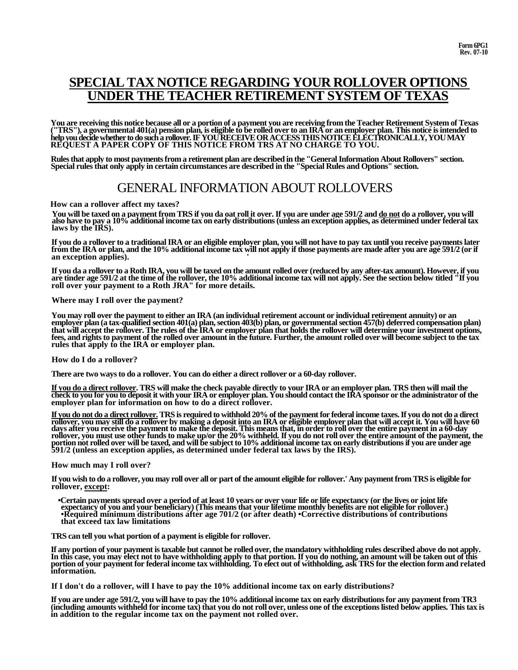## **SPECIAL TAX NOTICE REGARDING YOUR ROLLOVER OPTIONS UNDER THE TEACHER RETIREMENT SYSTEM**

**You are receiving this notice because all or a portion of a payment you are receiving from the Teacher Retirement System of Texas**  (''TRS''), a governmental 401(a) pension plan, is eligible to be rolled over to an IRA or an employer plan. This notice is intended to<br>help you decide whether to do such a rollover. IF YOU RECEIVE OR ACCESS THIS NOTICE ELE **REQUEST A PAPER COPY OF THIS NOTICE FROM TRS AT NO CHARGE TO YOU.**

**Rules that apply to most payments from a retirement plan are described in the "General Information About Rollovers" section. Special rules that only apply in certain circumstances are described in the "Special Rules and Options" section.**

## GENERAL INFORMATION ABOUT ROLLOVERS

**How can a rollover affect my taxes?**

You will be taxed on a payment from TRS if you da oat roll it over. If you are under age 591/2 and <u>do not</u> do a rollover, you will<br>also have to pay a 10% additional income tax on early distributions (unless an exception a **laws by the IRS).**

**If you do a rollover to a traditional IRA or an eligible employer plan, you will not have to pay tax until you receive payments later from the IRA or plan, and the 10% additional income tax will not apply if those payments are made after you are age 591/2 (or if an exception applies). '**

If you da a rollover to a Roth IRA, you will be taxed on the amount rolled over (reduced by any after-tax amount). However, if you are tinder age 591/2 at the time of the rollover, the 10% additional income tax will not ap

#### **Where may I roll over the payment?**

You may roll over the payment to either an IRA (an individual retirement account or individual retirement annuity) or an<br>employer plan (a tax-qualified section 401(a) plan, section 403(b) plan, or governmental section 457( **fees, and rights to payment of the rolled over amount in the future. Further, the amount rolled over will become subject to the tax rules that apply to the IRA or employer plan.**

### **How do I do a rollover?**

**There are two ways to do a rollover. You can do either a direct rollover or a 60-day rollover.**

<u>If you do a direct rollover</u>. TRS will make the check payable directly to your IRA or an employer plan. TRS then will mail the check to you for you to deposit it with your IRA or employer plan. You should contact the IRA

<u>If you do not do a direct rollover.</u> TRS is required to withhold 20% of the payment for federal income taxes. If you do not do a direct<br>rollover, you may still do a rollover by making a deposit into an IRA or eligible emp days after you receive the payment to make the deposit. This means that, in order to roll over the entire payment in a 60-day<br>rollover, you must use other funds to make up/or the 20% withheld. If you do not roll over the e portion not rolled over will be taxed, and will be subject to 10% additional income tax on early distributions if you are under age<br>591/2 (unless an exception applies, as determined under federal tax laws by the IRS).

#### **How much may I roll over?**

**If you wish to do a rollover, you may roll over all or part of the amount eligible for rollover.' Any payment from TRS is eligible for rollover, except:**

**•Certain payments spread over a period of at least 10 years or over your life or life expectancy (or the lives or joint life expectancy of you and your beneficiary) (This means that your lifetime monthly benefits are not eligible for rollover.) •Required minimum distributions after age 701/2 (or after death) •Corrective distributions of contributions that exceed tax law limitations**

**TRS can tell you what portion of a payment is eligible for rollover.**

If any portion of your payment is taxable but cannot be rolled over, the mandatory withholding rules described above do not apply.<br>In this case, you may elect not to have withholding apply to that portion. If you do nothin **portion of your payment for federal income tax withholding. To elect out of withholding, ask TRS for the election form and related information.**

**If I don't do a rollover, will I have to pay the 10% additional income tax on early distributions?**

**If you are under age 591/2, you will have to pay the 10% additional income tax on early distributions for any payment from TR3 (including amounts withheld for income tax) that you do not roll over, unless one of the exceptions listed below applies. This tax is in addition to the regular income tax on the payment not rolled over.**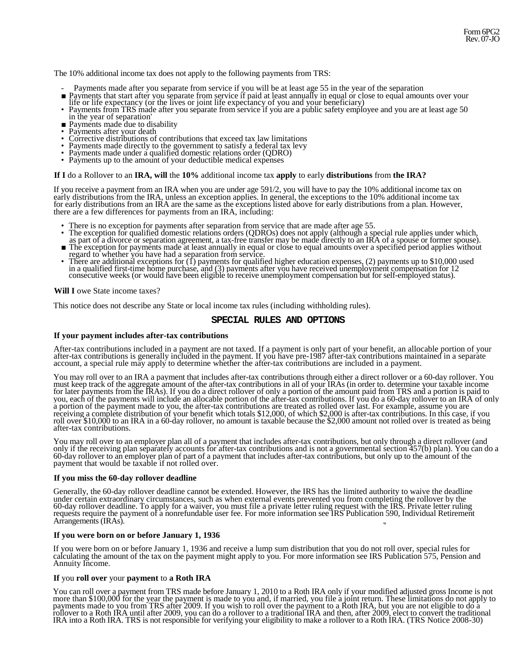The 10% additional income tax does not apply to the following payments from TRS:

- 
- Payments made after you separate from service if you will be at least age 55 in the year of the separation <br>Payments that start after you separate from service if paid at least annually in equal or close to equal amounts
- The or life expectancy (or the lives or joint life expectancy of you and your beneficiary)<br>
Payments from TRS made after you separate from service if you are a public safety employee and you are at least age 50 in the y
- 
- 
- Payments after your death<br>Corrective distributions of contributions that exceed tax law limitations<br>Payments made directly to the government to satisfy a federal tax levy<br>Payments made under a qualified domestic relations
- 
- 
- 

### **If I** do a Rollover to an **IRA, will** the **10%** additional income tax **apply** to early **distributions** from **the IRA?**

If you receive a payment from an IRA when you are under age 591/2, you will have to pay the 10% additional income tax on early distributions from the IRA, unless an exception applies. In general, the exceptions to the 10% additional income tax for early distributions from an IRA are the same as the exceptions listed above for early distributions from a plan. However, there are a few differences for payments from an IRA, including:

- 
- There is no exception for payments after separation from service that are made after age 55.<br>The exception for qualified domestic relations orders (QDROs) does not apply (although a special rule applies under which,
- as part of a divorce or separation agreement, a tax-free transfer may be made directly to an IRA of a spouse or former spouse). The exception for payments made at least annually in equal or close to equal amounts over a sp The exception for payments made at least annually in equal or close to equal amounts over a specified period applies without regard to whether you have had a separation from service.<br>• There are additional exceptions for (
- in a qualified first-time home purchase, and (3) payments after you have received unemployment compensation for 12 consecutive weeks (or would have been eligible to receive unemployment compensation but for self-employed s

**Will I** owe State income taxes?

This notice does not describe any State or local income tax rules (including withholding rules).

### **SPECIAL RULES AND OPTIONS**

### **If your payment includes after-tax contributions**

After-tax contributions included in a payment are not taxed. If a payment is only part of your benefit, an allocable portion of your after-tax contributions is generally included in the payment. If you have pre-1987 after-

You may roll over to an IRA a payment that includes after-tax contributions through either a direct rollover or a 60-day rollover. You must keep track of the aggregate amount of the after-tax contributions in all of your IRAs (in order to. determine your taxable income for later payments from the IRAs). If you do a direct rollover of only a portion of the amount paid from TRS and a portion is paid to you, each of the payments will include an allocable portion of the after-tax contributions. If you do a 60-day rollover to an IRA of only a portion of the payment made to you, the after-tax contributions are treated as rol

You may roll over to an employer plan all of a payment that includes after-tax contributions, but only through a direct rollover (and only if the receiving plan separately accounts for after-tax contributions and is not a governmental section 457(b) plan). You can do a 60-day rollover to an employer plan of part of a payment that includes after-tax contributions, but only up to the amount of the payment that would be taxable if not rolled over.

#### **If you miss the 60-day rollover deadline**

Generally, the 60-day rollover deadline cannot be extended. However, the IRS has the limited authority to waive the deadline under certain extraordinary circumstances, such as when external events prevented you from comple requests require the payment of a nonrefundable user fee. For more information see IRS Publication 590, Individual Retirement Arrangements (IRAs).

### **If you were born on or before January 1, 1936**

If you were born on or before January 1, 1936 and receive a lump sum distribution that you do not roll over, special rules for calculating the amount of the tax on the payment might apply to you. For more information see IRS Publication 575, Pension and Annuity Income.

### **If** you **roll over** your **payment** to **a Roth IRA**

You can roll over a payment from TRS made before January 1, 2010 to a Roth IRA only if your modified adjusted gross Income is not more than \$100,000 for the year the payment is made to you and, if married, you file a joint return. These limitations do not apply to payments made to you from TRS after 2009. If you wish to roll over the payment to a Roth IRA, but you are not eligible to do a<br>rollover to a Roth IRA until after 2009, you can do a rollover to a traditional IRA and then, a IRA into a Roth IRA. TRS is not responsible for verifying your eligibility to make a rollover to a Roth IRA. (TRS Notice 2008-30)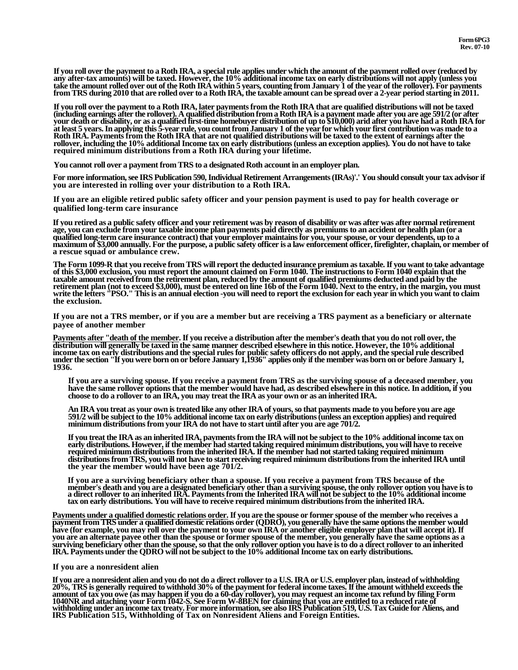If you roll over the payment to a Roth IRA, a special rule applies under which the amount of the payment rolled over (reduced by<br>any after-tax amounts) will be taxed. However, the 10% additional income tax on early distrib **from TRS during 2010 that are rolled over to a Roth IRA, the taxable amount can be spread over a 2-year period starting in 2011.**

If you roll over the payment to a Roth IRA, later payments from the Roth IRA that are qualified distributions will not be taxed<br>(including earnings after the rollover). A qualified distribution from a Roth IRA is a payment when the measure of the state in the state of the state of the state of the state of the state of the state of the state of the state of the state of the state of the state of the state of the state of the state of the sta **required minimum distributions from a Roth IRA during your lifetime.**

**You cannot roll over a payment from TRS to a designated Roth account in an employer plan.**

**For more information, see IRS Publication 590, Individual Retirement Arrangements (IRAs)'.' You should consult your tax advisor if you are interested in rolling over your distribution to a Roth IRA.**

**If you are an eligible retired public safety officer and your pension payment is used to pay for health coverage or qualified long-term care insurance**

**If you retired as a public safety officer and your retirement was by reason of disability or was after was after normal retirement age, you can exclude from your taxable income plan payments paid directly as premiums to an accident or health plan (or a**  qualified long-term care insurance contract) that your employer maintains for you, your spouse, or your dependents, up to a<br>maximum of \$3,000 annually. For the purpose, a public safety officer is a law enforcement officer, **a rescue squad or ambulance crew.**

The Form 1099-R that you receive from TRS will report the deducted insurance premium as taxable. If you want to take advantage<br>of this \$3,000 exclusion, you must report the amount claimed on Form 1040. The instructions to **taxable amount received from the retirement plan, reduced by the amount of qualified premiums deducted and paid by the**  exceed \$3,000), must be entered on line 16b of the Form 1040. Next to the entry, in the margin, you must<br>write the letters "PSO." This is an annual election -you will need to report the exclusion for each year in which you

**If you are not a TRS member, or if you are a member but are receiving a TRS payment as a beneficiary or alternate payee of another member**

Payments after "death of the member. If you receive a distribution after the member's death that you do not roll over, the distribution will generally be taxed in the same manner described elsewhere in this notice. However **income tax on early distributions and the special rules for public safety officers do not apply, and the special rule described under the section "If you were born on or before January 1,1936" applies only if the member was born on or before January 1, 1936.**

**If you are a surviving spouse. If you receive a payment from TRS as the surviving spouse of a deceased member, you have the same rollover options that the member would have had, as described elsewhere in this notice. In addition, if you choose to do a rollover to an IRA, you may treat the IRA as your own or as an inherited IRA.**

An IRA you treat as your own is treated like any other IRA of yours, so that payments made to you before you are age<br>591/2 will be subject to the 10% additional income tax on early distributions (unless an exception applie **minimum distributions from your IRA do not have to start until after you are age 701/2.**

**If you treat the IRA as an inherited IRA, payments from the IRA will not be subject to the 10% additional income tax on early distributions. However, if the member had started taking required minimum distributions, you will have to receive required minimum distributions from the inherited IRA. If the member had not started taking required minimum distributions from TRS, you will not have to start receiving required minimum distributions from the inherited IRA until the year the member would have been age 701/2.**

**If you are a surviving beneficiary other than a spouse. If you receive a payment from TRS because of the member's death and you are a designated beneficiary other than a surviving spouse, the only rollover option you have is to a direct rollover to an inherited IRA. Payments from the Inherited IRA will not be subject to the 10% additional income tax on early distributions. You will have to receive required minimum distributions from the inherited IRA.**

Payments under a qualified domestic relations order. If you are the spouse or former spouse of the member who receives a<br>payment from TRS under a qualified domestic relations order (QDRO), you generally have the same optio have (for example, you may roll over the payment to your own IRA or another eligible employer plan that will accept it). If<br>you are an alternate payee other than the spouse or former spouse of the member, you generally hav surviving beneficiary other than the spouse, so that the only rollover option you have is to do a direct rollover to an inherited<br>IRA. Payments under the QDRO will not be subject to the 10% additional Income tax on early d

#### **If you are a nonresident alien**

If you are a nonresident alien and you do not do a direct rollover to a U.S. IRA or U.S. employer plan, instead of withholding<br>20%, TRS is generally required to withhold 30% of the payment for federal income taxes. If the 20%, Tax Guide for Aliens, and<br>amount of tax you ove (as may happen if you do a 60-day rollover), you may request an income tax refund by filing Form<br>1040NR and attaching your Form 1042-S. See Form W-8BEN for claiming that